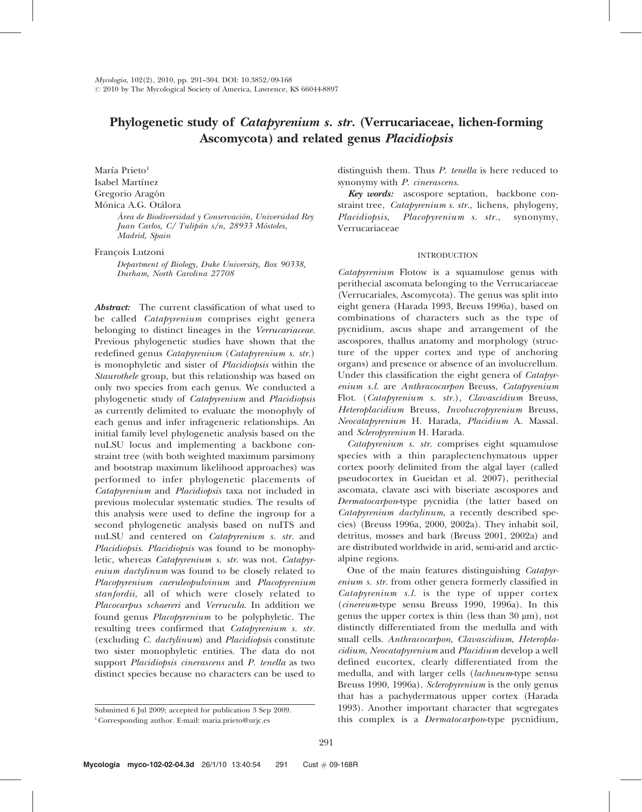# Phylogenetic study of *Catapyrenium s. str.* (Verrucariaceae, lichen-forming Ascomycota) and related genus Placidiopsis

María Prieto<sup>1</sup> Isabel Martínez Gregorio Aragón Mónica A.G. Otálora

Área de Biodiversidad y Conservación, Universidad Rey Juan Carlos, C/ Tulipán s/n, 28933 Móstoles, Madrid, Spain

François Lutzoni

Department of Biology, Duke University, Box 90338, Durham, North Carolina 27708

Abstract: The current classification of what used to be called Catapyrenium comprises eight genera belonging to distinct lineages in the Verrucariaceae. Previous phylogenetic studies have shown that the redefined genus Catapyrenium (Catapyrenium s. str.) is monophyletic and sister of Placidiopsis within the Staurothele group, but this relationship was based on only two species from each genus. We conducted a phylogenetic study of Catapyrenium and Placidiopsis as currently delimited to evaluate the monophyly of each genus and infer infrageneric relationships. An initial family level phylogenetic analysis based on the nuLSU locus and implementing a backbone constraint tree (with both weighted maximum parsimony and bootstrap maximum likelihood approaches) was performed to infer phylogenetic placements of Catapyrenium and Placidiopsis taxa not included in previous molecular systematic studies. The results of this analysis were used to define the ingroup for a second phylogenetic analysis based on nuITS and nuLSU and centered on Catapyrenium s. str. and Placidiopsis. Placidiopsis was found to be monophyletic, whereas Catapyrenium s. str. was not. Catapyrenium dactylinum was found to be closely related to Placopyrenium caeruleopulvinum and Placopyrenium stanfordii, all of which were closely related to Placocarpus schaereri and Verrucula. In addition we found genus Placopyrenium to be polyphyletic. The resulting trees confirmed that Catapyrenium s. str. (excluding C. dactylinum) and Placidiopsis constitute two sister monophyletic entities. The data do not support Placidiopsis cinerascens and P. tenella as two distinct species because no characters can be used to

Submitted 6 Jul 2009; accepted for publication 3 Sep 2009. 1Corresponding author. E-mail: maria.prieto@urjc.es

distinguish them. Thus *P. tenella* is here reduced to synonymy with P. cinerascens.

Key words: ascospore septation, backbone constraint tree, *Catapyrenium s. str.*, lichens, phylogeny, Placidiopsis, Placopyrenium s. str., synonymy, Verrucariaceae

## **INTRODUCTION**

Catapyrenium Flotow is a squamulose genus with perithecial ascomata belonging to the Verrucariaceae (Verrucariales, Ascomycota). The genus was split into eight genera (Harada 1993, Breuss 1996a), based on combinations of characters such as the type of pycnidium, ascus shape and arrangement of the ascospores, thallus anatomy and morphology (structure of the upper cortex and type of anchoring organs) and presence or absence of an involucrellum. Under this classification the eight genera of Catapyrenium s.l. are Anthracocarpon Breuss, Catapyrenium Flot. (Catapyrenium s. str.), Clavascidium Breuss, Heteroplacidium Breuss, Involucropyrenium Breuss, Neocatapyrenium H. Harada, Placidium A. Massal. and Scleropyrenium H. Harada.

Catapyrenium s. str. comprises eight squamulose species with a thin paraplectenchymatous upper cortex poorly delimited from the algal layer (called pseudocortex in Gueidan et al. 2007), perithecial ascomata, clavate asci with biseriate ascospores and Dermatocarpon-type pycnidia (the latter based on Catapyrenium dactylinum, a recently described species) (Breuss 1996a, 2000, 2002a). They inhabit soil, detritus, mosses and bark (Breuss 2001, 2002a) and are distributed worldwide in arid, semi-arid and arcticalpine regions.

One of the main features distinguishing Catapyrenium s. str. from other genera formerly classified in Catapyrenium s.l. is the type of upper cortex (cinereum-type sensu Breuss 1990, 1996a). In this genus the upper cortex is thin (less than  $30 \mu m$ ), not distinctly differentiated from the medulla and with small cells. Anthracocarpon, Clavascidium, Heteroplacidium, Neocatapyrenium and Placidium develop a well defined eucortex, clearly differentiated from the medulla, and with larger cells (lachneum-type sensu Breuss 1990, 1996a). Scleropyrenium is the only genus that has a pachydermatous upper cortex (Harada 1993). Another important character that segregates this complex is a Dermatocarpon-type pycnidium,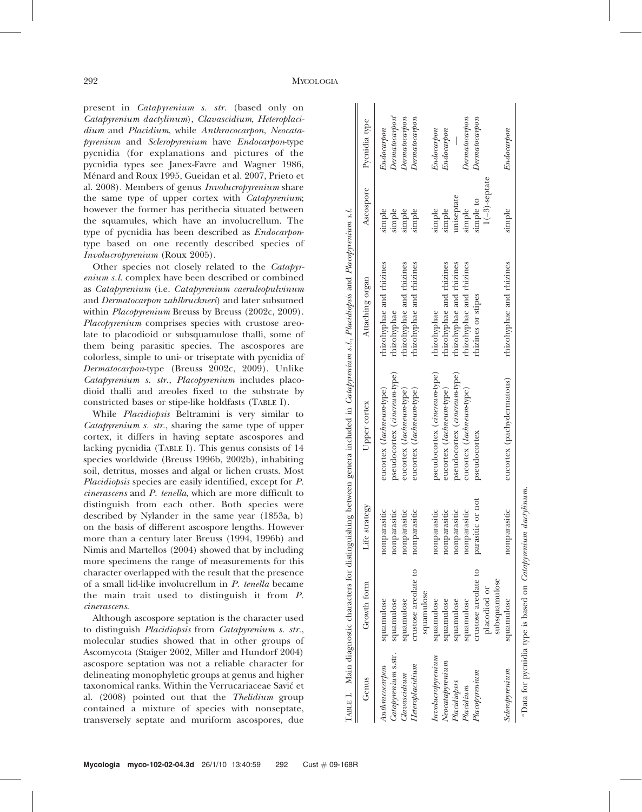present in Catapyrenium s. str. (based only on Catapyrenium dactylinum), Clavascidium, Heteroplacidium and Placidium, while Anthracocarpon, Neocatapyrenium and Scleropyrenium have Endocarpon-type pycnidia (for explanations and pictures of the pycnidia types see Janex-Favre and Wagner 1986, Ménard and Roux 1995, Gueidan et al. 2007, Prieto et al. 2008). Members of genus Involucropyrenium share the same type of upper cortex with *Catapyrenium*; however the former has perithecia situated between the squamules, which have an involucrellum. The type of pycnidia has been described as Endocarpontype based on one recently described species of Involucropyrenium (Roux 2005).

Other species not closely related to the Catapyrenium s.l. complex have been described or combined as Catapyrenium (i.e. Catapyrenium caeruleopulvinum and Dermatocarpon zahlbruckneri) and later subsumed within *Placopyrenium* Breuss by Breuss (2002c, 2009). Placopyrenium comprises species with crustose areolate to placodioid or subsquamulose thalli, some of them being parasitic species. The ascospores are colorless, simple to uni- or triseptate with pycnidia of Dermatocarpon-type (Breuss 2002c, 2009). Unlike Catapyrenium s. str., Placopyrenium includes placodioid thalli and areoles fixed to the substrate by constricted bases or stipe-like holdfasts (TABLE I).

While Placidiopsis Beltramini is very similar to Catapyrenium s. str., sharing the same type of upper cortex, it differs in having septate ascospores and lacking pycnidia (TABLE I). This genus consists of 14 species worldwide (Breuss 1996b, 2002b), inhabiting soil, detritus, mosses and algal or lichen crusts. Most Placidiopsis species are easily identified, except for P. cinerascens and P. tenella, which are more difficult to distinguish from each other. Both species were described by Nylander in the same year (1853a, b) on the basis of different ascospore lengths. However more than a century later Breuss (1994, 1996b) and Nimis and Martellos (2004) showed that by including more specimens the range of measurements for this character overlapped with the result that the presence of a small lid-like involucrellum in P. tenella became the main trait used to distinguish it from P. cinerascens.

Although ascospore septation is the character used to distinguish Placidiopsis from Catapyrenium s. str., molecular studies showed that in other groups of Ascomycota (Staiger 2002, Miller and Hundorf 2004) ascospore septation was not a reliable character for delineating monophyletic groups at genus and higher taxonomical ranks. Within the Verrucariaceae Savic´ et al. (2008) pointed out that the Thelidium group contained a mixture of species with nonseptate, transversely septate and muriform ascospores, due

| Genus                                 | Growth form                        | Life strategy                | Upper cortex                                             | Attaching organ                         | Ascospore        | Pycnidia type                             |
|---------------------------------------|------------------------------------|------------------------------|----------------------------------------------------------|-----------------------------------------|------------------|-------------------------------------------|
| Catapyrenium s.str.<br>Anthracocarpon | squamulose<br>squamulose           | nonparasitic<br>nonparasitic | pseudocortex (cinereum-type)<br>eucortex (lachneum-type) | rhizohyphae and rhizines<br>rhizohyphae | simple<br>simple | Dermato carbon <sup>a</sup><br>Endocarpon |
| Clavascidium                          | squamulose                         | nonparasitic                 | eucortex (lachneum-type)                                 | chizohyphae and rhizines                | simple           | Dermato carbon                            |
| Heteroplacian                         | crustose areolate to<br>squamulose | nonparasitic                 | eucortex (lachneum-type)                                 | rhizohyphae and rhizines                | simple           | Dermatocarpon                             |
| $In volume top mean$                  | squamulose                         | nonparasitic                 | pseudocortex (cinereum-type)                             | rhizohyphae                             | simple           | Endocarpon                                |
| $No cada$ pyren $um$                  | squamulose                         | nonparasitic                 | eucortex (lachneum-type)                                 | chizohyphae and rhizines                | simple           | Endocarpon                                |
| Placidiopsis                          | squamulose                         | nonparasitic                 | pseudocortex (cinereum-type)                             | chizohyphae and rhizines                | uniseptate       |                                           |
| Placidium                             | squamulose                         | nonparasitic                 | eucortex (lachneum-type)                                 | rhizohyphae and rhizines                | simple           | Dernato carbon                            |
| Placopy enium                         | crustose areolate to               | or not<br>parasitic          | pseudocortex                                             | rhizines or stipes                      | simple to        | Dermatocarpon                             |
|                                       | subsquamulose<br>placodiod or      |                              |                                                          |                                         | $1(-3)$ -septate |                                           |
| Scleropyrenium                        | squamulose                         | nonparasitic                 | eucortex (pachydermatous)                                | rhizohyphae and rhizines                | simple           | Endocarpon                                |

 Data for pycnidia type is based on Catapyrenium dactylinum. ğ š ō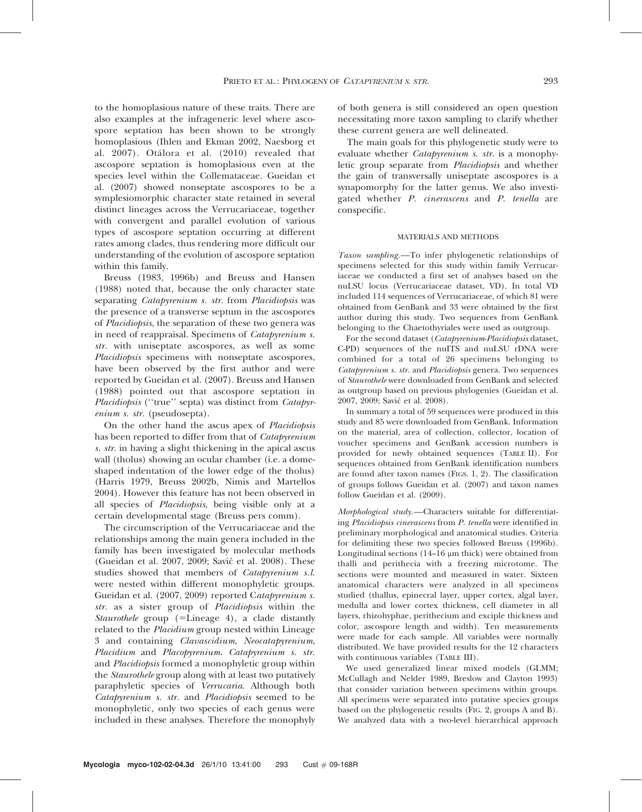to the homoplasious nature of these traits. There are also examples at the infrageneric level where ascospore septation has been shown to be strongly homoplasious (Ihlen and Ekman 2002, Naesborg et al. 2007). Otálora et al. (2010) revealed that ascospore septation is homoplasious even at the species level within the Collemataceae. Gueidan et al. (2007) showed nonseptate ascospores to be a symplesiomorphic character state retained in several distinct lineages across the Verrucariaceae, together with convergent and parallel evolution of various types of ascospore septation occurring at different rates among clades, thus rendering more difficult our understanding of the evolution of ascospore septation within this family.

Breuss (1983, 1996b) and Breuss and Hansen (1988) noted that, because the only character state separating *Catapyrenium s. str.* from *Placidiopsis* was the presence of a transverse septum in the ascospores of Placidiopsis, the separation of these two genera was in need of reappraisal. Specimens of Catapyrenium s. str. with uniseptate ascospores, as well as some Placidiopsis specimens with nonseptate ascospores, have been observed by the first author and were reported by Gueidan et al. (2007). Breuss and Hansen (1988) pointed out that ascospore septation in Placidiopsis ("true" septa) was distinct from Catapyrenium s. str. (pseudosepta).

On the other hand the ascus apex of Placidiopsis has been reported to differ from that of *Catapyrenium* s. str. in having a slight thickening in the apical ascus wall (tholus) showing an ocular chamber (i.e. a domeshaped indentation of the lower edge of the tholus) (Harris 1979, Breuss 2002b, Nimis and Martellos 2004). However this feature has not been observed in all species of Placidiopsis, being visible only at a certain developmental stage (Breuss pers comm).

The circumscription of the Verrucariaceae and the relationships among the main genera included in the family has been investigated by molecular methods (Gueidan et al. 2007, 2009; Savić et al. 2008). These studies showed that members of Catapyrenium s.l. were nested within different monophyletic groups. Gueidan et al. (2007, 2009) reported Catapyrenium s. str. as a sister group of Placidiopsis within the Staurothele group  $(=\text{Lineage } 4)$ , a clade distantly related to the *Placidium* group nested within Lineage 3 and containing Clavascidium, Neocatapyrenium, Placidium and Placopyrenium. Catapyrenium s. str. and Placidiopsis formed a monophyletic group within the Staurothele group along with at least two putatively paraphyletic species of Verrucaria. Although both Catapyrenium s. str. and Placidiopsis seemed to be monophyletic, only two species of each genus were included in these analyses. Therefore the monophyly of both genera is still considered an open question necessitating more taxon sampling to clarify whether these current genera are well delineated.

The main goals for this phylogenetic study were to evaluate whether *Catapyrenium s. str.* is a monophyletic group separate from Placidiopsis and whether the gain of transversally uniseptate ascospores is a synapomorphy for the latter genus. We also investigated whether P. cinerascens and P. tenella are conspecific.

### MATERIALS AND METHODS

Taxon sampling.—To infer phylogenetic relationships of specimens selected for this study within family Verrucariaceae we conducted a first set of analyses based on the nuLSU locus (Verrucariaceae dataset, VD). In total VD included 114 sequences of Verrucariaceae, of which 81 were obtained from GenBank and 33 were obtained by the first author during this study. Two sequences from GenBank belonging to the Chaetothyriales were used as outgroup.

For the second dataset (Catapyrenium-Placidiopsis dataset, C-PD) sequences of the nuITS and nuLSU rDNA were combined for a total of 26 specimens belonging to Catapyrenium s. str. and Placidiopsis genera. Two sequences of Staurothele were downloaded from GenBank and selected as outgroup based on previous phylogenies (Gueidan et al. 2007, 2009; Savić et al. 2008).

In summary a total of 59 sequences were produced in this study and 85 were downloaded from GenBank. Information on the material, area of collection, collector, location of voucher specimens and GenBank accession numbers is provided for newly obtained sequences (TABLE II). For sequences obtained from GenBank identification numbers are found after taxon names (FIGS. 1, 2). The classification of groups follows Gueidan et al. (2007) and taxon names follow Gueidan et al. (2009).

Morphological study.—Characters suitable for differentiating Placidiopsis cinerascens from P. tenella were identified in preliminary morphological and anatomical studies. Criteria for delimiting these two species followed Breuss (1996b). Longitudinal sections  $(14-16 \mu m)$  thick) were obtained from thalli and perithecia with a freezing microtome. The sections were mounted and measured in water. Sixteen anatomical characters were analyzed in all specimens studied (thallus, epinecral layer, upper cortex, algal layer, medulla and lower cortex thickness, cell diameter in all layers, rhizohyphae, perithecium and exciple thickness and color, ascospore length and width). Ten measurements were made for each sample. All variables were normally distributed. We have provided results for the 12 characters with continuous variables (TABLE III).

We used generalized linear mixed models (GLMM; McCullagh and Nelder 1989, Breslow and Clayton 1993) that consider variation between specimens within groups. All specimens were separated into putative species groups based on the phylogenetic results (FIG. 2, groups A and B). We analyzed data with a two-level hierarchical approach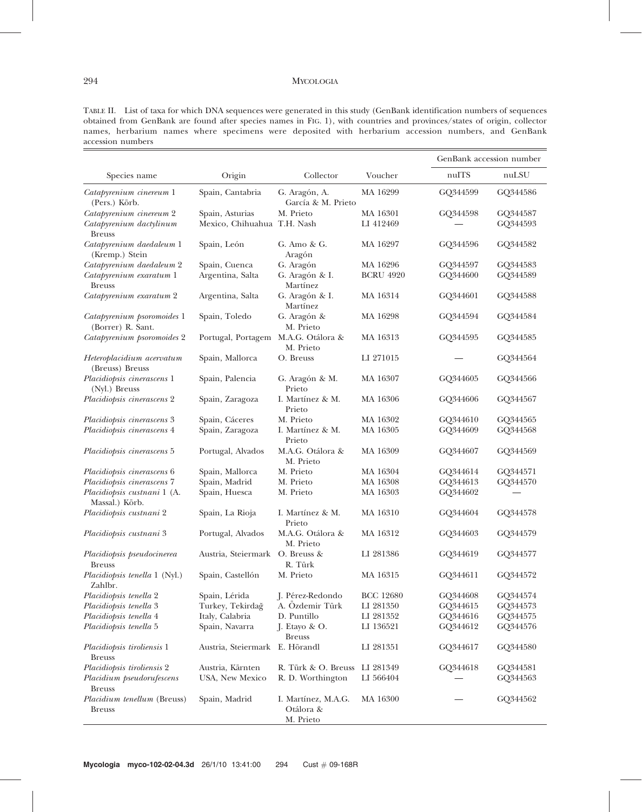## 294 MYCOLOGIA

TABLE II. List of taxa for which DNA sequences were generated in this study (GenBank identification numbers of sequences obtained from GenBank are found after species names in FIG. 1), with countries and provinces/states of origin, collector names, herbarium names where specimens were deposited with herbarium accession numbers, and GenBank accession numbers

|                                                     |                                     |                                               |                  |          | GenBank accession number |
|-----------------------------------------------------|-------------------------------------|-----------------------------------------------|------------------|----------|--------------------------|
| Species name                                        | Origin                              | Collector                                     | Voucher          | nuITS    | nuLSU                    |
| Catapyrenium cinereum 1<br>(Pers.) Körb.            | Spain, Cantabria                    | G. Aragón, A.<br>García & M. Prieto           | MA 16299         | GQ344599 | GQ344586                 |
| Catapyrenium cinereum 2                             | Spain, Asturias                     | M. Prieto                                     | MA 16301         | GQ344598 | GQ344587                 |
| Catapyrenium dactylinum<br><b>Breuss</b>            | Mexico, Chihuahua T.H. Nash         |                                               | LI 412469        |          | GQ344593                 |
| Catapyrenium daedaleum 1<br>(Kremp.) Stein          | Spain, León                         | G. Amo & G.<br>Aragón                         | MA 16297         | GQ344596 | GQ344582                 |
| Catapyrenium daedaleum 2                            | Spain, Cuenca                       | G. Aragón                                     | MA 16296         | GQ344597 | GQ344583                 |
| Catapyrenium exaratum 1<br><b>Breuss</b>            | Argentina, Salta                    | G. Aragón & I.<br>Martínez                    | <b>BCRU 4920</b> | GQ344600 | GQ344589                 |
| Catapyrenium exaratum 2                             | Argentina, Salta                    | G. Aragón & I.<br>Martínez                    | MA 16314         | GQ344601 | GQ344588                 |
| Catapyrenium psoromoides 1<br>(Borrer) R. Sant.     | Spain, Toledo                       | G. Aragón &<br>M. Prieto                      | MA 16298         | GQ344594 | GQ344584                 |
| Catapyrenium psoromoides 2                          | Portugal, Portagem M.A.G. Otálora & | M. Prieto                                     | MA 16313         | GQ344595 | GQ344585                 |
| Heteroplacidium acervatum<br>(Breuss) Breuss        | Spain, Mallorca                     | O. Breuss                                     | LI 271015        |          | GQ344564                 |
| Placidiopsis cinerascens 1<br>(Nyl.) Breuss         | Spain, Palencia                     | G. Aragón & M.<br>Prieto                      | MA 16307         | GQ344605 | GQ344566                 |
| Placidiopsis cinerascens 2                          | Spain, Zaragoza                     | I. Martínez & M.<br>Prieto                    | MA 16306         | GQ344606 | GQ344567                 |
| Placidiopsis cinerascens 3                          | Spain, Cáceres                      | M. Prieto                                     | MA 16302         | GQ344610 | GQ344565                 |
| Placidiopsis cinerascens 4                          | Spain, Zaragoza                     | I. Martínez & M.<br>Prieto                    | MA 16305         | GQ344609 | GQ344568                 |
| Placidiopsis cinerascens 5                          | Portugal, Alvados                   | M.A.G. Otálora &<br>M. Prieto                 | MA 16309         | GQ344607 | GQ344569                 |
| Placidiopsis cinerascens 6                          | Spain, Mallorca                     | M. Prieto                                     | MA 16304         | GQ344614 | GQ344571                 |
| Placidiopsis cinerascens 7                          | Spain, Madrid                       | M. Prieto                                     | MA 16308         | GQ344613 | GQ344570                 |
| Placidiopsis custnani 1 (A.<br>Massal.) Körb.       | Spain, Huesca                       | M. Prieto                                     | MA 16303         | GQ344602 |                          |
| Placidiopsis custnani 2                             | Spain, La Rioja                     | I. Martínez & M.<br>Prieto                    | MA 16310         | GQ344604 | GQ344578                 |
| Placidiopsis custnani 3                             | Portugal, Alvados                   | M.A.G. Otálora &<br>M. Prieto                 | MA 16312         | GQ344603 | GQ344579                 |
| Placidiopsis pseudocinerea<br><b>Breuss</b>         | Austria, Steiermark O. Breuss &     | R. Türk                                       | LI 281386        | GQ344619 | GQ344577                 |
| Placidiopsis tenella 1 (Nyl.)<br>Zahlbr.            | Spain, Castellón                    | M. Prieto                                     | MA 16315         | GQ344611 | GQ344572                 |
| Placidiopsis tenella 2                              | Spain, Lérida                       | J. Pérez-Redondo                              | <b>BCC 12680</b> | GO344608 | GQ344574                 |
| Placidiopsis tenella 3                              | Turkey, Tekirdağ                    | A. Özdemir Türk                               | LI 281350        | GQ344615 | GQ344573                 |
| Placidiopsis tenella 4                              | Italy, Calabria                     | D. Puntillo                                   | LI 281352        | GQ344616 | GQ344575                 |
| Placidiopsis tenella 5                              | Spain, Navarra                      | J. Etayo & O.<br><b>Breuss</b>                | LI 136521        | GQ344612 | GQ344576                 |
| Placidiopsis tiroliensis 1<br><b>Breuss</b>         | Austria, Steiermark E. Hörandl      |                                               | LI 281351        | GQ344617 | GQ344580                 |
| Placidiopsis tiroliensis 2                          | Austria, Kärnten                    | R. Türk & O. Breuss                           | LI 281349        | GQ344618 | GQ344581                 |
| Placidium pseudorufescens<br><b>Breuss</b>          | USA, New Mexico                     | R. D. Worthington                             | LI 566404        |          | GQ344563                 |
| <i>Placidium tenellum</i> (Breuss)<br><b>Breuss</b> | Spain, Madrid                       | I. Martínez, M.A.G.<br>Otálora &<br>M. Prieto | MA 16300         |          | GQ344562                 |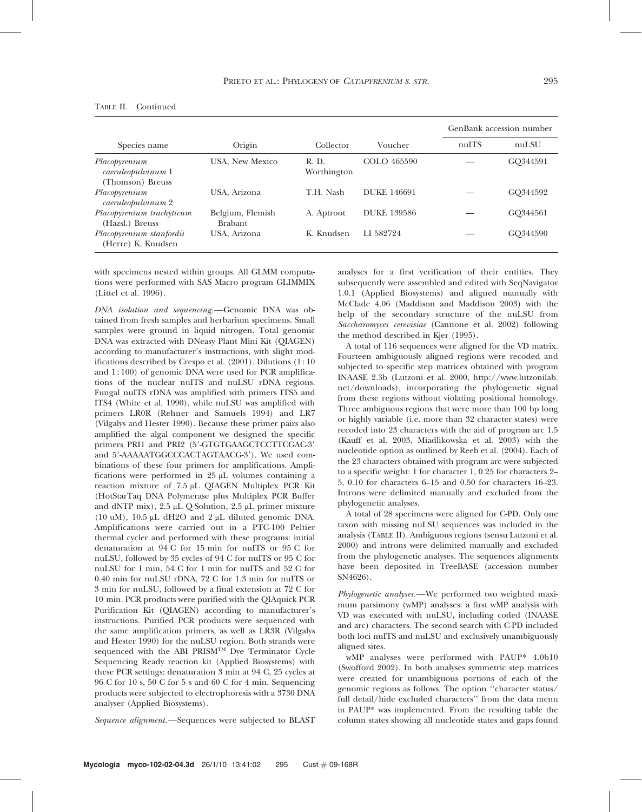| TABLE II. | Continued |
|-----------|-----------|
|           |           |

|                                                         |                                    |                      |                    | GenBank accession number |          |
|---------------------------------------------------------|------------------------------------|----------------------|--------------------|--------------------------|----------|
| Species name                                            | Origin                             | Collector            | Voucher            | nuITS                    | nuLSU    |
| Placopyrenium<br>caeruleopulvinum 1<br>(Thomson) Breuss | <b>USA, New Mexico</b>             | R. D.<br>Worthington | COLO 465590        |                          | GQ344591 |
| Placopyrenium<br>caeruleopulvinum 2                     | USA, Arizona                       | T.H. Nash            | <b>DUKE 146691</b> |                          | GQ344592 |
| Placopyrenium trachyticum<br>(Hazsl.) Breuss            | Belgium, Flemish<br><b>Brabant</b> | A. Aptroot           | <b>DUKE 139586</b> |                          | GQ344561 |
| Placopyrenium stanfordii<br>(Herre) K. Knudsen          | USA, Arizona                       | K. Knudsen           | LI 582724          |                          | GO344590 |

with specimens nested within groups. All GLMM computations were performed with SAS Macro program GLIMMIX (Littel et al. 1996).

DNA isolation and sequencing.—Genomic DNA was obtained from fresh samples and herbarium specimens. Small samples were ground in liquid nitrogen. Total genomic DNA was extracted with DNeasy Plant Mini Kit (QIAGEN) according to manufacturer's instructions, with slight modifications described by Crespo et al. (2001). Dilutions (1 : 10 and 1:100) of genomic DNA were used for PCR amplifications of the nuclear nuITS and nuLSU rDNA regions. Fungal nuITS rDNA was amplified with primers ITS5 and ITS4 (White et al. 1990), while nuLSU was amplified with primers LR0R (Rehner and Samuels 1994) and LR7 (Vilgalys and Hester 1990). Because these primer pairs also amplified the algal component we designed the specific primers PRI1 and PRI2 (5'-GTGTGAAGCTCCTTCGAC-3' and 5'-AAAAATGGCCCACTAGTAACG-3'). We used combinations of these four primers for amplifications. Amplifications were performed in  $25 \mu L$  volumes containing a reaction mixture of 7.5 µL QIAGEN Multiplex PCR Kit (HotStarTaq DNA Polymerase plus Multiplex PCR Buffer and dNTP mix),  $2.5 \mu L$  Q-Solution,  $2.5 \mu L$  primer mixture (10 uM),  $10.5 \mu L$  dH2O and 2  $\mu L$  diluted genomic DNA. Amplifications were carried out in a PTC-100 Peltier thermal cycler and performed with these programs: initial denaturation at 94 C for 15 min for nuITS or 95 C for nuLSU, followed by 35 cycles of 94 C for nuITS or 95 C for nuLSU for 1 min, 54 C for 1 min for nuITS and 52 C for 0.40 min for nuLSU rDNA, 72 C for 1.3 min for nuITS or 3 min for nuLSU, followed by a final extension at 72 C for 10 min. PCR products were purified with the QIAquick PCR Purification Kit (QIAGEN) according to manufacturer's instructions. Purified PCR products were sequenced with the same amplification primers, as well as LR3R (Vilgalys and Hester 1990) for the nuLSU region. Both strands were sequenced with the ABI PRISM<sup>TM</sup> Dye Terminator Cycle Sequencing Ready reaction kit (Applied Biosystems) with these PCR settings: denaturation 3 min at 94 C, 25 cycles at 96 C for 10 s, 50 C for 5 s and 60 C for 4 min. Sequencing products were subjected to electrophoresis with a 3730 DNA analyser (Applied Biosystems).

Sequence alignment.—Sequences were subjected to BLAST

analyses for a first verification of their entities. They subsequently were assembled and edited with SeqNavigator 1.0.1 (Applied Biosystems) and aligned manually with McClade 4.06 (Maddison and Maddison 2003) with the help of the secondary structure of the nuLSU from Saccharomyces cerevisiae (Cannone et al. 2002) following the method described in Kjer (1995).

A total of 116 sequences were aligned for the VD matrix. Fourteen ambiguously aligned regions were recoded and subjected to specific step matrices obtained with program INAASE 2.3b (Lutzoni et al. 2000, http://www.lutzonilab. net/downloads), incorporating the phylogenetic signal from these regions without violating positional homology. Three ambiguous regions that were more than 100 bp long or highly variable (i.e. more than 32 character states) were recoded into 23 characters with the aid of program arc 1.5 (Kauff et al. 2003, Miadlikowska et al. 2003) with the nucleotide option as outlined by Reeb et al. (2004). Each of the 23 characters obtained with program arc were subjected to a specific weight: 1 for character 1, 0.25 for characters 2– 5, 0.10 for characters 6–15 and 0.50 for characters 16–23. Introns were delimited manually and excluded from the phylogenetic analyses.

A total of 28 specimens were aligned for C-PD. Only one taxon with missing nuLSU sequences was included in the analysis (TABLE II). Ambiguous regions (sensu Lutzoni et al. 2000) and introns were delimited manually and excluded from the phylogenetic analyses. The sequences alignments have been deposited in TreeBASE (accession number SN4626).

Phylogenetic analyses.—We performed two weighted maximum parsimony (wMP) analyses: a first wMP analysis with VD was executed with nuLSU, including coded (INAASE and arc) characters. The second search with C-PD included both loci nuITS and nuLSU and exclusively unambiguously aligned sites.

wMP analyses were performed with PAUP\* 4.0b10 (Swofford 2002). In both analyses symmetric step matrices were created for unambiguous portions of each of the genomic regions as follows. The option ''character status/ full detail/hide excluded characters'' from the data menu in PAUP\* was implemented. From the resulting table the column states showing all nucleotide states and gaps found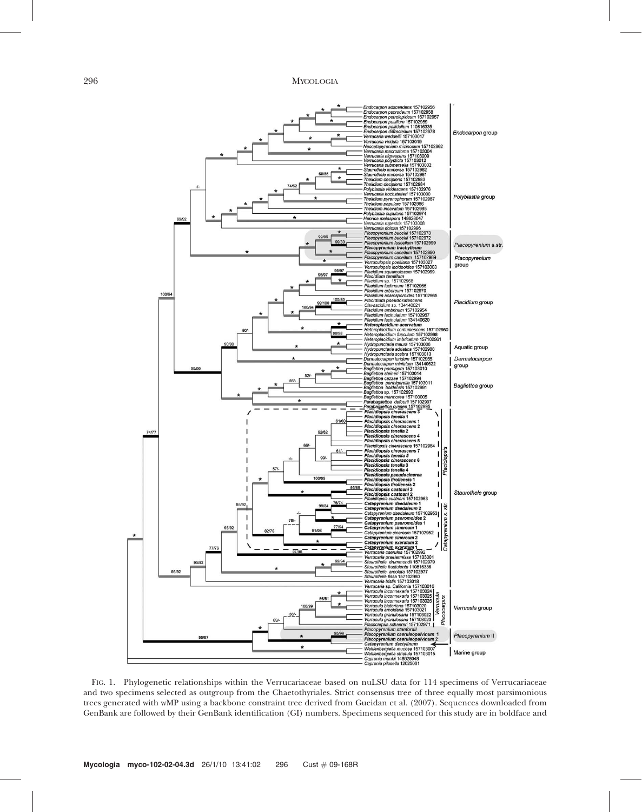

FIG. 1. Phylogenetic relationships within the Verrucariaceae based on nuLSU data for 114 specimens of Verrucariaceae and two specimens selected as outgroup from the Chaetothyriales. Strict consensus tree of three equally most parsimonious trees generated with wMP using a backbone constraint tree derived from Gueidan et al. (2007). Sequences downloaded from GenBank are followed by their GenBank identification (GI) numbers. Specimens sequenced for this study are in boldface and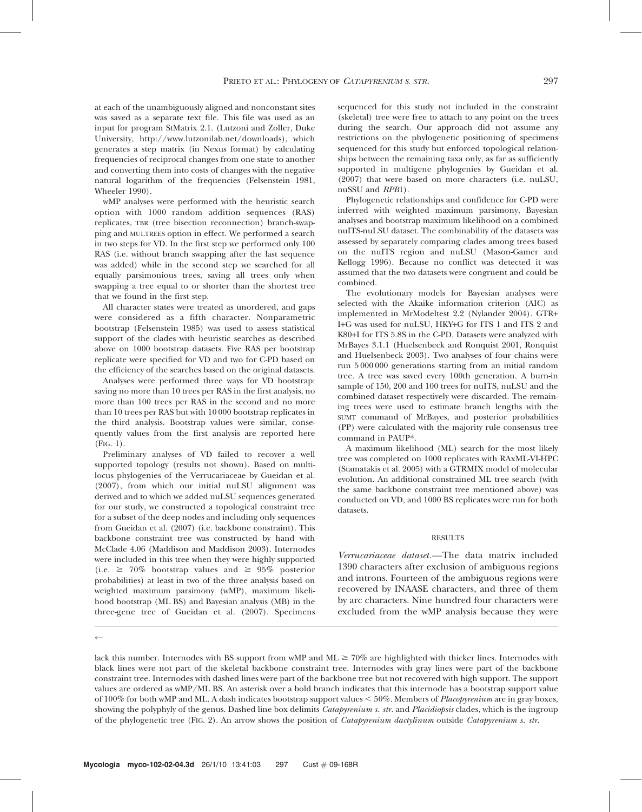at each of the unambiguously aligned and nonconstant sites was saved as a separate text file. This file was used as an input for program StMatrix 2.1. (Lutzoni and Zoller, Duke University, http://www.lutzonilab.net/downloads), which generates a step matrix (in Nexus format) by calculating frequencies of reciprocal changes from one state to another and converting them into costs of changes with the negative natural logarithm of the frequencies (Felsenstein 1981, Wheeler 1990).

wMP analyses were performed with the heuristic search option with 1000 random addition sequences (RAS) replicates, TBR (tree bisection reconnection) branch-swapping and MULTREES option in effect. We performed a search in two steps for VD. In the first step we performed only 100 RAS (i.e. without branch swapping after the last sequence was added) while in the second step we searched for all equally parsimonious trees, saving all trees only when swapping a tree equal to or shorter than the shortest tree that we found in the first step.

All character states were treated as unordered, and gaps were considered as a fifth character. Nonparametric bootstrap (Felsenstein 1985) was used to assess statistical support of the clades with heuristic searches as described above on 1000 bootstrap datasets. Five RAS per bootstrap replicate were specified for VD and two for C-PD based on the efficiency of the searches based on the original datasets.

Analyses were performed three ways for VD bootstrap: saving no more than 10 trees per RAS in the first analysis, no more than 100 trees per RAS in the second and no more than 10 trees per RAS but with 10 000 bootstrap replicates in the third analysis. Bootstrap values were similar, consequently values from the first analysis are reported here (FIG. 1).

Preliminary analyses of VD failed to recover a well supported topology (results not shown). Based on multilocus phylogenies of the Verrucariaceae by Gueidan et al. (2007), from which our initial nuLSU alignment was derived and to which we added nuLSU sequences generated for our study, we constructed a topological constraint tree for a subset of the deep nodes and including only sequences from Gueidan et al. (2007) (i.e. backbone constraint). This backbone constraint tree was constructed by hand with McClade 4.06 (Maddison and Maddison 2003). Internodes were included in this tree when they were highly supported (i.e.  $\geq 70\%$  bootstrap values and  $\geq 95\%$  posterior probabilities) at least in two of the three analysis based on weighted maximum parsimony (wMP), maximum likelihood bootstrap (ML BS) and Bayesian analysis (MB) in the three-gene tree of Gueidan et al. (2007). Specimens sequenced for this study not included in the constraint (skeletal) tree were free to attach to any point on the trees during the search. Our approach did not assume any restrictions on the phylogenetic positioning of specimens sequenced for this study but enforced topological relationships between the remaining taxa only, as far as sufficiently supported in multigene phylogenies by Gueidan et al. (2007) that were based on more characters (i.e. nuLSU, nuSSU and RPB1).

Phylogenetic relationships and confidence for C-PD were inferred with weighted maximum parsimony, Bayesian analyses and bootstrap maximum likelihood on a combined nuITS-nuLSU dataset. The combinability of the datasets was assessed by separately comparing clades among trees based on the nuITS region and nuLSU (Mason-Gamer and Kellogg 1996). Because no conflict was detected it was assumed that the two datasets were congruent and could be combined.

The evolutionary models for Bayesian analyses were selected with the Akaike information criterion (AIC) as implemented in MrModeltest 2.2 (Nylander 2004). GTR+ I+G was used for nuLSU, HKY+G for ITS 1 and ITS 2 and K80+I for ITS 5.8S in the C-PD. Datasets were analyzed with MrBayes 3.1.1 (Huelsenbeck and Ronquist 2001, Ronquist and Huelsenbeck 2003). Two analyses of four chains were run 5 000 000 generations starting from an initial random tree. A tree was saved every 100th generation. A burn-in sample of 150, 200 and 100 trees for nuITS, nuLSU and the combined dataset respectively were discarded. The remaining trees were used to estimate branch lengths with the SUMT command of MrBayes, and posterior probabilities (PP) were calculated with the majority rule consensus tree command in PAUP\*.

A maximum likelihood (ML) search for the most likely tree was completed on 1000 replicates with RAxML-VI-HPC (Stamatakis et al. 2005) with a GTRMIX model of molecular evolution. An additional constrained ML tree search (with the same backbone constraint tree mentioned above) was conducted on VD, and 1000 BS replicates were run for both datasets.

#### RESULTS

Verrucariaceae dataset.—The data matrix included 1390 characters after exclusion of ambiguous regions and introns. Fourteen of the ambiguous regions were recovered by INAASE characters, and three of them by arc characters. Nine hundred four characters were excluded from the wMP analysis because they were

 $\leftarrow$ 

lack this number. Internodes with BS support from wMP and ML  $\geq 70\%$  are highlighted with thicker lines. Internodes with black lines were not part of the skeletal backbone constraint tree. Internodes with gray lines were part of the backbone constraint tree. Internodes with dashed lines were part of the backbone tree but not recovered with high support. The support values are ordered as wMP/ML BS. An asterisk over a bold branch indicates that this internode has a bootstrap support value of 100% for both wMP and ML. A dash indicates bootstrap support values  $<$  50%. Members of *Placopyrenium* are in gray boxes, showing the polyphyly of the genus. Dashed line box delimits Catapyrenium s. str. and Placidiopsis clades, which is the ingroup of the phylogenetic tree (FIG. 2). An arrow shows the position of Catapyrenium dactylinum outside Catapyrenium s. str.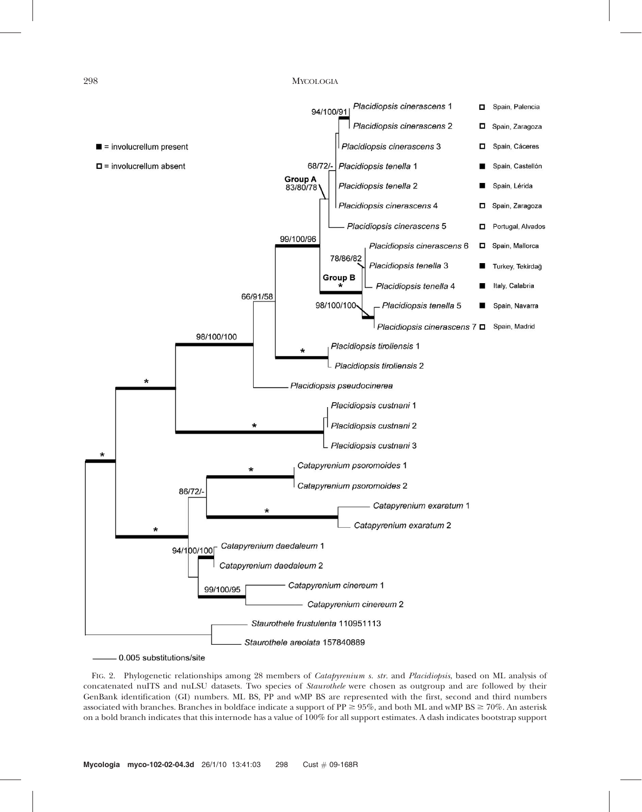

0.005 substitutions/site

FIG. 2. Phylogenetic relationships among 28 members of Catapyrenium s. str. and Placidiopsis, based on ML analysis of concatenated nuITS and nuLSU datasets. Two species of Staurothele were chosen as outgroup and are followed by their GenBank identification (GI) numbers. ML BS, PP and wMP BS are represented with the first, second and third numbers associated with branches. Branches in boldface indicate a support of PP  $\geq$  95%, and both ML and wMP BS  $\geq$  70%. An asterisk on a bold branch indicates that this internode has a value of 100% for all support estimates. A dash indicates bootstrap support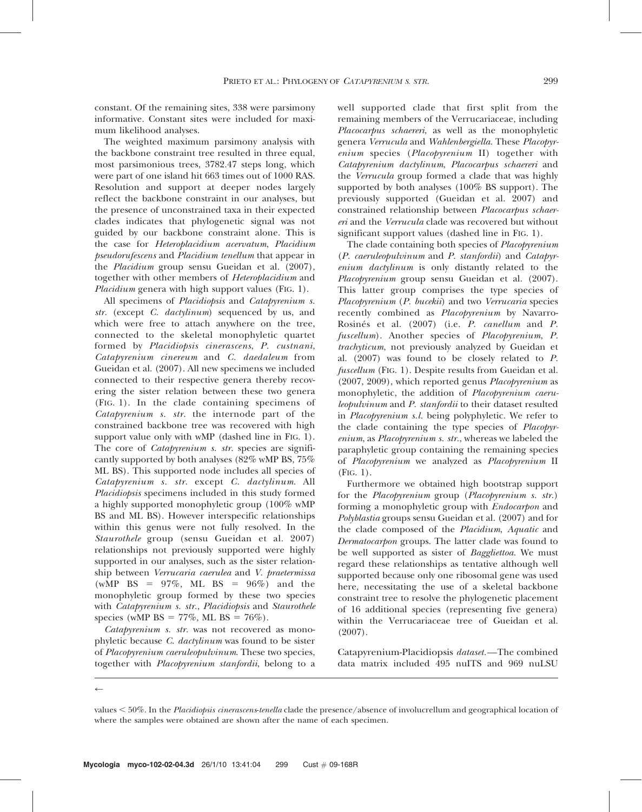constant. Of the remaining sites, 338 were parsimony informative. Constant sites were included for maximum likelihood analyses.

The weighted maximum parsimony analysis with the backbone constraint tree resulted in three equal, most parsimonious trees, 3782.47 steps long, which were part of one island hit 663 times out of 1000 RAS. Resolution and support at deeper nodes largely reflect the backbone constraint in our analyses, but the presence of unconstrained taxa in their expected clades indicates that phylogenetic signal was not guided by our backbone constraint alone. This is the case for Heteroplacidium acervatum, Placidium pseudorufescens and Placidium tenellum that appear in the Placidium group sensu Gueidan et al. (2007), together with other members of Heteroplacidium and Placidium genera with high support values (FIG. 1).

All specimens of *Placidiopsis* and *Catapyrenium s.* str. (except C. dactylinum) sequenced by us, and which were free to attach anywhere on the tree, connected to the skeletal monophyletic quartet formed by Placidiopsis cinerascens, P. custnani, Catapyrenium cinereum and C. daedaleum from Gueidan et al. (2007). All new specimens we included connected to their respective genera thereby recovering the sister relation between these two genera (FIG. 1). In the clade containing specimens of Catapyrenium s. str. the internode part of the constrained backbone tree was recovered with high support value only with wMP (dashed line in FIG. 1). The core of *Catapyrenium s. str.* species are significantly supported by both analyses (82% wMP BS, 75% ML BS). This supported node includes all species of Catapyrenium s. str. except C. dactylinum. All Placidiopsis specimens included in this study formed a highly supported monophyletic group (100% wMP BS and ML BS). However interspecific relationships within this genus were not fully resolved. In the Staurothele group (sensu Gueidan et al. 2007) relationships not previously supported were highly supported in our analyses, such as the sister relationship between Verrucaria caerulea and V. praetermissa (wMP BS =  $97\%$ , ML BS =  $96\%$ ) and the monophyletic group formed by these two species with *Catapyrenium s. str., Placidiopsis* and *Staurothele* species (wMP BS =  $77\%$ , ML BS =  $76\%$ ).

Catapyrenium s. str. was not recovered as monophyletic because C. dactylinum was found to be sister of Placopyrenium caeruleopulvinum. These two species, together with Placopyrenium stanfordii, belong to a well supported clade that first split from the remaining members of the Verrucariaceae, including Placocarpus schaereri, as well as the monophyletic genera Verrucula and Wahlenbergiella. These Placopyrenium species (Placopyrenium II) together with Catapyrenium dactylinum, Placocarpus schaereri and the Verrucula group formed a clade that was highly supported by both analyses (100% BS support). The previously supported (Gueidan et al. 2007) and constrained relationship between Placocarpus schaereri and the Verrucula clade was recovered but without significant support values (dashed line in FIG. 1).

The clade containing both species of *Placopyrenium* (P. caeruleopulvinum and P. stanfordii) and Catapyrenium dactylinum is only distantly related to the Placopyrenium group sensu Gueidan et al. (2007). This latter group comprises the type species of Placopyrenium (P. bucekii) and two Verrucaria species recently combined as Placopyrenium by Navarro-Rosinés et al. (2007) (i.e. P. canellum and P. fuscellum). Another species of Placopyrenium, P. trachyticum, not previously analyzed by Gueidan et al. (2007) was found to be closely related to P. fuscellum (FIG. 1). Despite results from Gueidan et al. (2007, 2009), which reported genus Placopyrenium as monophyletic, the addition of Placopyrenium caeruleopulvinum and P. stanfordii to their dataset resulted in Placopyrenium s.l. being polyphyletic. We refer to the clade containing the type species of Placopyrenium, as Placopyrenium s. str., whereas we labeled the paraphyletic group containing the remaining species of Placopyrenium we analyzed as Placopyrenium II (FIG. 1).

Furthermore we obtained high bootstrap support for the *Placopyrenium* group (*Placopyrenium s. str.*) forming a monophyletic group with *Endocarpon* and Polyblastia groups sensu Gueidan et al. (2007) and for the clade composed of the Placidium, Aquatic and Dermatocarpon groups. The latter clade was found to be well supported as sister of Baggliettoa. We must regard these relationships as tentative although well supported because only one ribosomal gene was used here, necessitating the use of a skeletal backbone constraint tree to resolve the phylogenetic placement of 16 additional species (representing five genera) within the Verrucariaceae tree of Gueidan et al. (2007).

Catapyrenium-Placidiopsis dataset.—The combined data matrix included 495 nuITS and 969 nuLSU

 $\leftarrow$ 

values < 50%. In the Placidiopsis cinerascens-tenella clade the presence/absence of involucrellum and geographical location of where the samples were obtained are shown after the name of each specimen.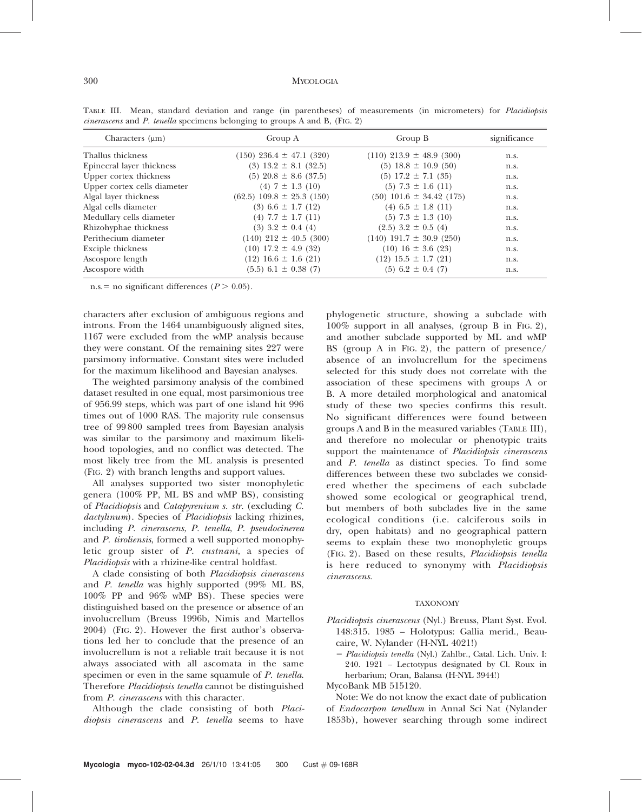## 300 MYCOLOGIA

| Characters $(\mu m)$        | Group A                         | Group B                        | significance |
|-----------------------------|---------------------------------|--------------------------------|--------------|
| Thallus thickness           | $(150)$ 236.4 $\pm$ 47.1 (320)  | $(110)$ 213.9 $\pm$ 48.9 (300) | n.s.         |
| Epinecral layer thickness   | $(3)$ 13.2 $\pm$ 8.1 (32.5)     | $(5)$ 18.8 $\pm$ 10.9 (50)     | n.s.         |
| Upper cortex thickness      | $(5)$ 20.8 $\pm$ 8.6 (37.5)     | $(5)$ 17.2 $\pm$ 7.1 (35)      | n.s.         |
| Upper cortex cells diameter | $(4)$ 7 $\pm$ 1.3 (10)          | $(5)$ 7.3 $\pm$ 1.6 (11)       | n.s.         |
| Algal layer thickness       | $(62.5)$ 109.8 $\pm$ 25.3 (150) | $(50)$ 101.6 $\pm$ 34.42 (175) | n.s.         |
| Algal cells diameter        | $(3)$ 6.6 $\pm$ 1.7 (12)        | $(4)$ 6.5 $\pm$ 1.8 (11)       | n.s.         |
| Medullary cells diameter    | $(4)$ 7.7 $\pm$ 1.7 (11)        | $(5)$ 7.3 $\pm$ 1.3 (10)       | n.s.         |
| Rhizohyphae thickness       | $(3)$ 3.2 $\pm$ 0.4 (4)         | $(2.5)$ 3.2 $\pm$ 0.5 (4)      | n.s.         |
| Perithecium diameter        | $(140)$ 212 $\pm$ 40.5 (300)    | $(140)$ 191.7 $\pm$ 30.9 (250) | n.s.         |
| Exciple thickness           | $(10)$ 17.2 $\pm$ 4.9 (32)      | $(10)$ 16 $\pm$ 3.6 (23)       | n.s.         |
| Ascospore length            | $(12)$ 16.6 $\pm$ 1.6 (21)      | $(12)$ 15.5 $\pm$ 1.7 (21)     | n.s.         |
| Ascospore width             | $(5.5)$ 6.1 $\pm$ 0.38 (7)      | $(5)$ 6.2 $\pm$ 0.4 (7)        | n.s.         |

TABLE III. Mean, standard deviation and range (in parentheses) of measurements (in micrometers) for Placidiopsis cinerascens and P. tenella specimens belonging to groups A and B, (FIG. 2)

n.s.= no significant differences ( $P > 0.05$ ).

characters after exclusion of ambiguous regions and introns. From the 1464 unambiguously aligned sites, 1167 were excluded from the wMP analysis because they were constant. Of the remaining sites 227 were parsimony informative. Constant sites were included for the maximum likelihood and Bayesian analyses.

The weighted parsimony analysis of the combined dataset resulted in one equal, most parsimonious tree of 956.99 steps, which was part of one island hit 996 times out of 1000 RAS. The majority rule consensus tree of 99 800 sampled trees from Bayesian analysis was similar to the parsimony and maximum likelihood topologies, and no conflict was detected. The most likely tree from the ML analysis is presented (FIG. 2) with branch lengths and support values.

All analyses supported two sister monophyletic genera (100% PP, ML BS and wMP BS), consisting of Placidiopsis and Catapyrenium s. str. (excluding C. dactylinum). Species of Placidiopsis lacking rhizines, including P. cinerascens, P. tenella, P. pseudocinerea and P. tiroliensis, formed a well supported monophyletic group sister of P. custnani, a species of Placidiopsis with a rhizine-like central holdfast.

A clade consisting of both Placidiopsis cinerascens and P. tenella was highly supported (99% ML BS, 100% PP and 96% wMP BS). These species were distinguished based on the presence or absence of an involucrellum (Breuss 1996b, Nimis and Martellos 2004) (FIG. 2). However the first author's observations led her to conclude that the presence of an involucrellum is not a reliable trait because it is not always associated with all ascomata in the same specimen or even in the same squamule of P. tenella. Therefore Placidiopsis tenella cannot be distinguished from P. cinerascens with this character.

Although the clade consisting of both Placidiopsis cinerascens and P. tenella seems to have

phylogenetic structure, showing a subclade with 100% support in all analyses, (group B in FIG. 2), and another subclade supported by ML and wMP BS (group A in FIG. 2), the pattern of presence/ absence of an involucrellum for the specimens selected for this study does not correlate with the association of these specimens with groups A or B. A more detailed morphological and anatomical study of these two species confirms this result. No significant differences were found between groups A and B in the measured variables (TABLE III), and therefore no molecular or phenotypic traits support the maintenance of *Placidiopsis cinerascens* and P. tenella as distinct species. To find some differences between these two subclades we considered whether the specimens of each subclade showed some ecological or geographical trend, but members of both subclades live in the same ecological conditions (i.e. calciferous soils in dry, open habitats) and no geographical pattern seems to explain these two monophyletic groups (FIG. 2). Based on these results, Placidiopsis tenella is here reduced to synonymy with Placidiopsis cinerascens.

#### TAXONOMY

- Placidiopsis cinerascens (Nyl.) Breuss, Plant Syst. Evol. 148:315. 1985 – Holotypus: Gallia merid., Beaucaire, W. Nylander (H-NYL 4021!)
- 5 Placidiopsis tenella (Nyl.) Zahlbr., Catal. Lich. Univ. I: 240. 1921 – Lectotypus designated by Cl. Roux in herbarium; Oran, Balansa (H-NYL 3944!)

MycoBank MB 515120.

Note: We do not know the exact date of publication of Endocarpon tenellum in Annal Sci Nat (Nylander 1853b), however searching through some indirect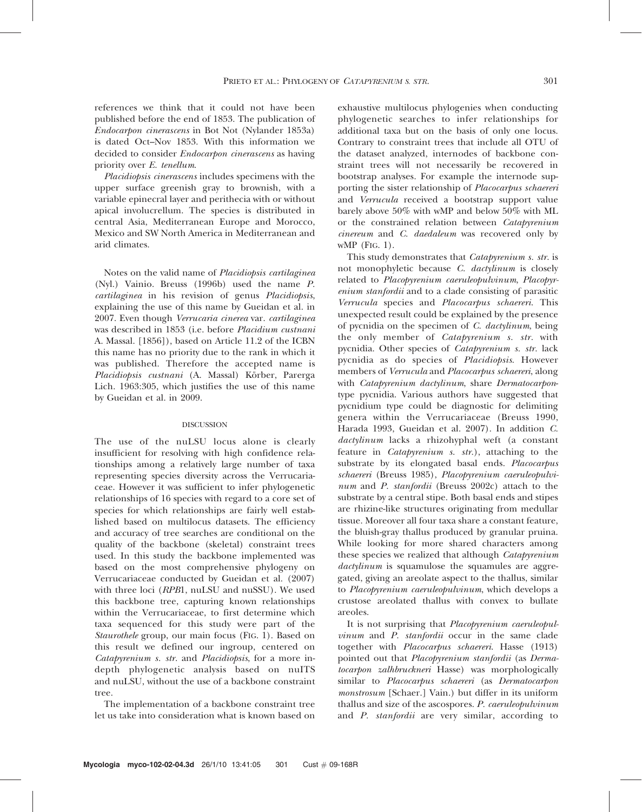references we think that it could not have been published before the end of 1853. The publication of Endocarpon cinerascens in Bot Not (Nylander 1853a) is dated Oct–Nov 1853. With this information we decided to consider *Endocarpon cinerascens* as having priority over E. tenellum.

Placidiopsis cinerascens includes specimens with the upper surface greenish gray to brownish, with a variable epinecral layer and perithecia with or without apical involucrellum. The species is distributed in central Asia, Mediterranean Europe and Morocco, Mexico and SW North America in Mediterranean and arid climates.

Notes on the valid name of Placidiopsis cartilaginea (Nyl.) Vainio. Breuss (1996b) used the name P. cartilaginea in his revision of genus Placidiopsis, explaining the use of this name by Gueidan et al. in 2007. Even though Verrucaria cinerea var. cartilaginea was described in 1853 (i.e. before Placidium custnani A. Massal. [1856]), based on Article 11.2 of the ICBN this name has no priority due to the rank in which it was published. Therefore the accepted name is Placidiopsis custnani (A. Massal) Körber, Parerga Lich. 1963:305, which justifies the use of this name by Gueidan et al. in 2009.

## DISCUSSION

The use of the nuLSU locus alone is clearly insufficient for resolving with high confidence relationships among a relatively large number of taxa representing species diversity across the Verrucariaceae. However it was sufficient to infer phylogenetic relationships of 16 species with regard to a core set of species for which relationships are fairly well established based on multilocus datasets. The efficiency and accuracy of tree searches are conditional on the quality of the backbone (skeletal) constraint trees used. In this study the backbone implemented was based on the most comprehensive phylogeny on Verrucariaceae conducted by Gueidan et al. (2007) with three loci (RPB1, nuLSU and nuSSU). We used this backbone tree, capturing known relationships within the Verrucariaceae, to first determine which taxa sequenced for this study were part of the Staurothele group, our main focus (FIG. 1). Based on this result we defined our ingroup, centered on Catapyrenium s. str. and Placidiopsis, for a more indepth phylogenetic analysis based on nuITS and nuLSU, without the use of a backbone constraint tree.

The implementation of a backbone constraint tree let us take into consideration what is known based on

exhaustive multilocus phylogenies when conducting phylogenetic searches to infer relationships for additional taxa but on the basis of only one locus. Contrary to constraint trees that include all OTU of the dataset analyzed, internodes of backbone constraint trees will not necessarily be recovered in bootstrap analyses. For example the internode supporting the sister relationship of Placocarpus schaereri and Verrucula received a bootstrap support value barely above 50% with wMP and below 50% with ML or the constrained relation between Catapyrenium cinereum and C. daedaleum was recovered only by wMP (FIG. 1).

This study demonstrates that *Catapyrenium s. str.* is not monophyletic because C. dactylinum is closely related to Placopyrenium caeruleopulvinum, Placopyrenium stanfordii and to a clade consisting of parasitic Verrucula species and Placocarpus schaereri. This unexpected result could be explained by the presence of pycnidia on the specimen of C. dactylinum, being the only member of Catapyrenium s. str. with pycnidia. Other species of Catapyrenium s. str. lack pycnidia as do species of Placidiopsis. However members of Verrucula and Placocarpus schaereri, along with Catapyrenium dactylinum, share Dermatocarpontype pycnidia. Various authors have suggested that pycnidium type could be diagnostic for delimiting genera within the Verrucariaceae (Breuss 1990, Harada 1993, Gueidan et al. 2007). In addition C. dactylinum lacks a rhizohyphal weft (a constant feature in *Catapyrenium s. str.*), attaching to the substrate by its elongated basal ends. Placocarpus schaereri (Breuss 1985), Placopyrenium caeruleopulvinum and P. stanfordii (Breuss 2002c) attach to the substrate by a central stipe. Both basal ends and stipes are rhizine-like structures originating from medullar tissue. Moreover all four taxa share a constant feature, the bluish-gray thallus produced by granular pruina. While looking for more shared characters among these species we realized that although Catapyrenium dactylinum is squamulose the squamules are aggregated, giving an areolate aspect to the thallus, similar to Placopyrenium caeruleopulvinum, which develops a crustose areolated thallus with convex to bullate areoles.

It is not surprising that *Placopyrenium caeruleopul*vinum and P. stanfordii occur in the same clade together with Placocarpus schaereri. Hasse (1913) pointed out that Placopyrenium stanfordii (as Dermatocarpon zalhbruckneri Hasse) was morphologically similar to Placocarpus schaereri (as Dermatocarpon monstrosum [Schaer.] Vain.) but differ in its uniform thallus and size of the ascospores. P. caeruleopulvinum and P. stanfordii are very similar, according to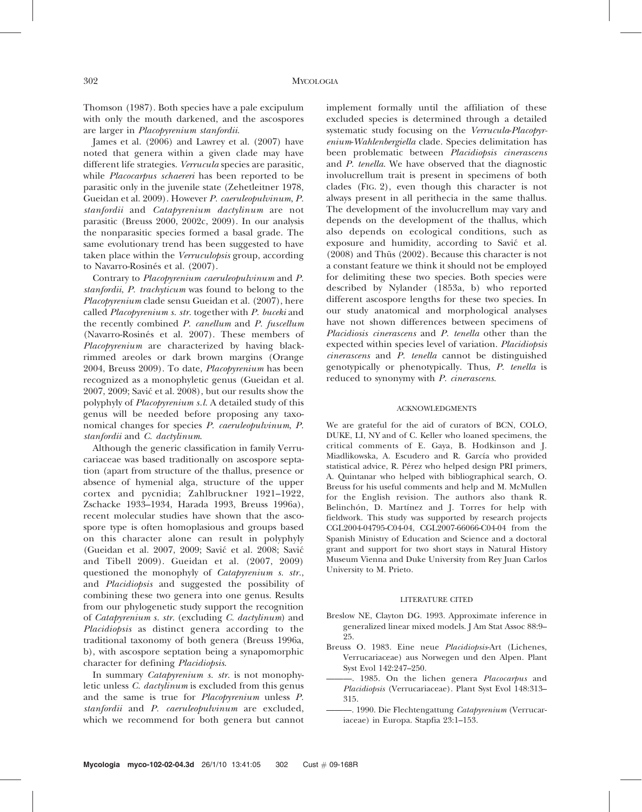Thomson (1987). Both species have a pale excipulum with only the mouth darkened, and the ascospores are larger in Placopyrenium stanfordii.

James et al. (2006) and Lawrey et al. (2007) have noted that genera within a given clade may have different life strategies. Verrucula species are parasitic, while *Placocarpus schaereri* has been reported to be parasitic only in the juvenile state (Zehetleitner 1978, Gueidan et al. 2009). However P. caeruleopulvinum, P. stanfordii and Catapyrenium dactylinum are not parasitic (Breuss 2000, 2002c, 2009). In our analysis the nonparasitic species formed a basal grade. The same evolutionary trend has been suggested to have taken place within the Verruculopsis group, according to Navarro-Rosinés et al. (2007).

Contrary to Placopyrenium caeruleopulvinum and P. stanfordii, P. trachyticum was found to belong to the Placopyrenium clade sensu Gueidan et al. (2007), here called Placopyrenium s. str. together with P. buceki and the recently combined P. canellum and P. fuscellum (Navarro-Rosinés et al. 2007). These members of Placopyrenium are characterized by having blackrimmed areoles or dark brown margins (Orange 2004, Breuss 2009). To date, Placopyrenium has been recognized as a monophyletic genus (Gueidan et al. 2007, 2009; Savic´ et al. 2008), but our results show the polyphyly of Placopyrenium s.l. A detailed study of this genus will be needed before proposing any taxonomical changes for species P. caeruleopulvinum, P. stanfordii and C. dactylinum.

Although the generic classification in family Verrucariaceae was based traditionally on ascospore septation (apart from structure of the thallus, presence or absence of hymenial alga, structure of the upper cortex and pycnidia; Zahlbruckner 1921–1922, Zschacke 1933–1934, Harada 1993, Breuss 1996a), recent molecular studies have shown that the ascospore type is often homoplasious and groups based on this character alone can result in polyphyly (Gueidan et al. 2007, 2009; Savić et al. 2008; Savić and Tibell 2009). Gueidan et al. (2007, 2009) questioned the monophyly of *Catapyrenium s. str.*, and Placidiopsis and suggested the possibility of combining these two genera into one genus. Results from our phylogenetic study support the recognition of Catapyrenium s. str. (excluding C. dactylinum) and Placidiopsis as distinct genera according to the traditional taxonomy of both genera (Breuss 1996a, b), with ascospore septation being a synapomorphic character for defining Placidiopsis.

In summary Catapyrenium s. str. is not monophyletic unless C. dactylinum is excluded from this genus and the same is true for *Placopyrenium* unless *P*. stanfordii and P. caeruleopulvinum are excluded, which we recommend for both genera but cannot implement formally until the affiliation of these excluded species is determined through a detailed systematic study focusing on the Verrucula-Placopyrenium-Wahlenbergiella clade. Species delimitation has been problematic between Placidiopsis cinerascens and P. tenella. We have observed that the diagnostic involucrellum trait is present in specimens of both clades (FIG. 2), even though this character is not always present in all perithecia in the same thallus. The development of the involucrellum may vary and depends on the development of the thallus, which also depends on ecological conditions, such as exposure and humidity, according to Savić et al.  $(2008)$  and Thüs  $(2002)$ . Because this character is not a constant feature we think it should not be employed for delimiting these two species. Both species were described by Nylander (1853a, b) who reported different ascospore lengths for these two species. In our study anatomical and morphological analyses have not shown differences between specimens of Placidiosis cinerascens and P. tenella other than the expected within species level of variation. Placidiopsis cinerascens and P. tenella cannot be distinguished genotypically or phenotypically. Thus, P. tenella is reduced to synonymy with P. cinerascens.

## ACKNOWLEDGMENTS

We are grateful for the aid of curators of BCN, COLO, DUKE, LI, NY and of C. Keller who loaned specimens, the critical comments of E. Gaya, B. Hodkinson and J. Miadlikowska, A. Escudero and R. García who provided statistical advice, R. Pérez who helped design PRI primers, A. Quintanar who helped with bibliographical search, O. Breuss for his useful comments and help and M. McMullen for the English revision. The authors also thank R. Belinchón, D. Martínez and J. Torres for help with fieldwork. This study was supported by research projects CGL2004-04795-C04-04, CGL2007-66066-C04-04 from the Spanish Ministry of Education and Science and a doctoral grant and support for two short stays in Natural History Museum Vienna and Duke University from Rey Juan Carlos University to M. Prieto.

### LITERATURE CITED

- Breslow NE, Clayton DG. 1993. Approximate inference in generalized linear mixed models. J Am Stat Assoc 88:9– 25.
- Breuss O. 1983. Eine neue Placidiopsis-Art (Lichenes, Verrucariaceae) aus Norwegen und den Alpen. Plant Syst Evol 142:247–250.
- -. 1985. On the lichen genera Placocarpus and Placidiopsis (Verrucariaceae). Plant Syst Evol 148:313– 315.
- -. 1990. Die Flechtengattung Catapyrenium (Verrucariaceae) in Europa. Stapfia 23:1–153.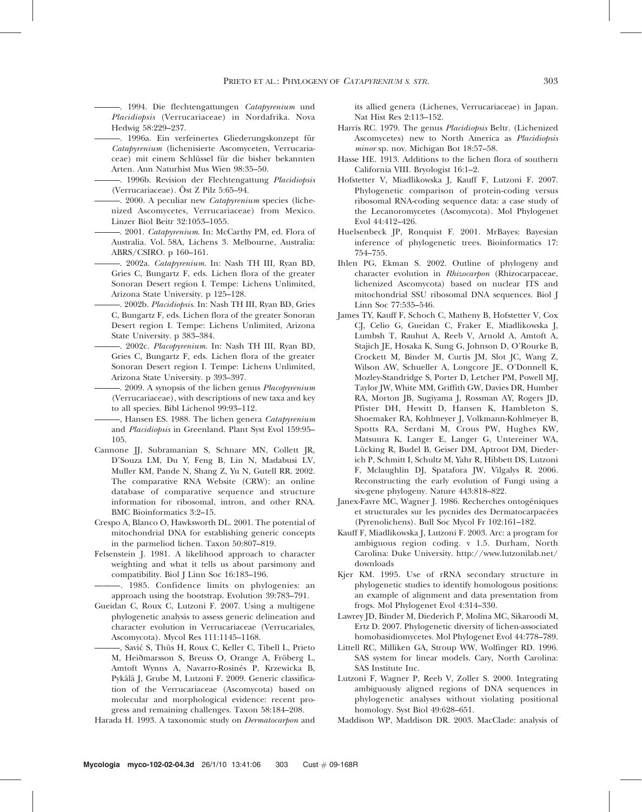———. 1994. Die flechtengattungen Catapyrenium und Placidiopsis (Verrucariaceae) in Nordafrika. Nova Hedwig 58:229–237.

- ———. 1996a. Ein verfeinertes Gliederungskonzept fu¨r Catapyrenium (lichenisierte Ascomyceten, Verrucariaceae) mit einem Schlüssel für die bisher bekannten Arten. Ann Naturhist Mus Wien 98:35–50.
- ———. 1996b. Revision der Flechtengattung Placidiopsis (Verrucariaceae).  $\ddot{\text{O}}$ st Z Pilz 5:65–94.
- —. 2000. A peculiar new *Catapyrenium* species (lichenized Ascomycetes, Verrucariaceae) from Mexico. Linzer Biol Beitr 32:1053–1055.
- -. 2001. Catapyrenium. In: McCarthy PM, ed. Flora of Australia. Vol. 58A, Lichens 3. Melbourne, Australia: ABRS/CSIRO. p 160–161.
- ———. 2002a. Catapyrenium. In: Nash TH III, Ryan BD, Gries C, Bungartz F, eds. Lichen flora of the greater Sonoran Desert region I. Tempe: Lichens Unlimited, Arizona State University. p 125–128.
- -. 2002b. Placidiopsis. In: Nash TH III, Ryan BD, Gries C, Bungartz F, eds. Lichen flora of the greater Sonoran Desert region I. Tempe: Lichens Unlimited, Arizona State University. p 383–384.
- ———. 2002c. Placopyrenium. In: Nash TH III, Ryan BD, Gries C, Bungartz F, eds. Lichen flora of the greater Sonoran Desert region I. Tempe: Lichens Unlimited, Arizona State University. p 393–397.
- -. 2009. A synopsis of the lichen genus Placopyrenium (Verrucariaceae), with descriptions of new taxa and key to all species. Bibl Lichenol 99:93–112.

-, Hansen ES. 1988. The lichen genera Catapyrenium and Placidiopsis in Greenland. Plant Syst Evol 159:95– 105.

- Cannone JJ, Subramanian S, Schnare MN, Collett JR, D'Souza LM, Du Y, Feng B, Lin N, Madabusi LV, Muller KM, Pande N, Shang Z, Yu N, Gutell RR. 2002. The comparative RNA Website (CRW): an online database of comparative sequence and structure information for ribosomal, intron, and other RNA. BMC Bioinformatics 3:2–15.
- Crespo A, Blanco O, Hawksworth DL. 2001. The potential of mitochondrial DNA for establishing generic concepts in the parmeliod lichen. Taxon 50:807–819.
- Felsenstein J. 1981. A likelihood approach to character weighting and what it tells us about parsimony and compatibility. Biol J Linn Soc 16:183–196.
- ———. 1985. Confidence limits on phylogenies: an approach using the bootstrap. Evolution 39:783–791.
- Gueidan C, Roux C, Lutzoni F. 2007. Using a multigene phylogenetic analysis to assess generic delineation and character evolution in Verrucariaceae (Verrucariales, Ascomycota). Mycol Res 111:1145–1168.
- ———, Savic´ S, Thu¨s H, Roux C, Keller C, Tibell L, Prieto M, Heiðmarsson S, Breuss O, Orange A, Fröberg L, Amtoft Wynns A, Navarro-Rosinés P, Krzewicka B, Pykälä J, Grube M, Lutzoni F. 2009. Generic classification of the Verrucariaceae (Ascomycota) based on molecular and morphological evidence: recent progress and remaining challenges. Taxon 58:184–208.
- Harada H. 1993. A taxonomic study on Dermatocarpon and

its allied genera (Lichenes, Verrucariaceae) in Japan. Nat Hist Res 2:113–152.

- Harris RC. 1979. The genus Placidiopsis Beltr. (Lichenized Ascomycetes) new to North America as Placidiopsis minor sp. nov. Michigan Bot 18:57–58.
- Hasse HE. 1913. Additions to the lichen flora of southern California VIII. Bryologist 16:1–2.
- Hofstetter V, Miadlikowska J, Kauff F, Lutzoni F. 2007. Phylogenetic comparison of protein-coding versus ribosomal RNA-coding sequence data: a case study of the Lecanoromycetes (Ascomycota). Mol Phylogenet Evol 44:412–426.
- Huelsenbeck JP, Ronquist F. 2001. MrBayes: Bayesian inference of phylogenetic trees. Bioinformatics 17: 754–755.
- Ihlen PG, Ekman S. 2002. Outline of phylogeny and character evolution in Rhizocarpon (Rhizocarpaceae, lichenized Ascomycota) based on nuclear ITS and mitochondrial SSU ribosomal DNA sequences. Biol J Linn Soc 77:535–546.
- James TY, Kauff F, Schoch C, Matheny B, Hofstetter V, Cox CJ, Celio G, Gueidan C, Fraker E, Miadlikowska J, Lumbsh T, Rauhut A, Reeb V, Arnold A, Amtoft A, Stajich JE, Hosaka K, Sung G, Johnson D, O'Rourke B, Crockett M, Binder M, Curtis JM, Slot JC, Wang Z, Wilson AW, Schueller A, Longcore JE, O'Donnell K, Mozley-Standridge S, Porter D, Letcher PM, Powell MJ, Taylor JW, White MM, Griffith GW, Davies DR, Humber RA, Morton JB, Sugiyama J, Rossman AY, Rogers JD, Pfister DH, Hewitt D, Hansen K, Hambleton S, Shoemaker RA, Kohlmeyer J, Volkmann-Kohlmeyer B, Spotts RA, Serdani M, Crous PW, Hughes KW, Matsuura K, Langer E, Langer G, Untereiner WA, Lücking R, Budel B, Geiser DM, Aptroot DM, Diederich P, Schmitt I, Schultz M, Yahr R, Hibbett DS, Lutzoni F, Mclaughlin DJ, Spatafora JW, Vilgalys R. 2006. Reconstructing the early evolution of Fungi using a six-gene phylogeny. Nature 443:818–822.
- Janex-Favre MC, Wagner J. 1986. Recherches ontogéniques et structurales sur les pycnides des Dermatocarpacées (Pyrenolichens). Bull Soc Mycol Fr 102:161–182.
- Kauff F, Miadlikowska J, Lutzoni F. 2003. Arc: a program for ambiguous region coding. v 1.5. Durham, North Carolina: Duke University. http://www.lutzonilab.net/ downloads
- Kjer KM. 1995. Use of rRNA secondary structure in phylogenetic studies to identify homologous positions: an example of alignment and data presentation from frogs. Mol Phylogenet Evol 4:314–330.
- Lawrey JD, Binder M, Diederich P, Molina MC, Sikaroodi M, Ertz D. 2007. Phylogenetic diversity of lichen-associated homobasidiomycetes. Mol Phylogenet Evol 44:778–789.
- Littell RC, Milliken GA, Stroup WW, Wolfinger RD. 1996. SAS system for linear models. Cary, North Carolina: SAS Institute Inc.
- Lutzoni F, Wagner P, Reeb V, Zoller S. 2000. Integrating ambiguously aligned regions of DNA sequences in phylogenetic analyses without violating positional homology. Syst Biol 49:628–651.
- Maddison WP, Maddison DR. 2003. MacClade: analysis of